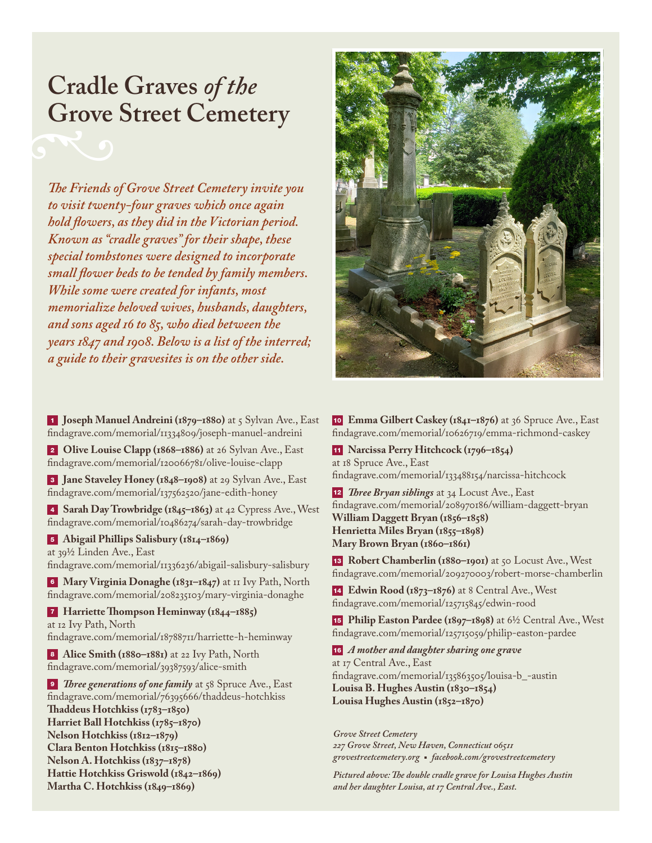## **Cradle Graves** *of the* **Grove Street Cemetery**

*The Friends of Grove Street Cemetery invite you to visit twenty-four graves which once again hold flowers, as they did in the Victorian period. Known as "cradle graves" for their shape, these special tombstones were designed to incorporate small flower beds to be tended by family members. While some were created for infants, most memorialize beloved wives, husbands, daughters, and sons aged 16 to 85, who died between the years 1847 and 1908. Below is a list of the interred; a guide to their gravesites is on the other side.*

<sup>1</sup> **Joseph Manuel Andreini (1879–1880)** at 5 Sylvan Ave., East findagrave.com/memorial/11334809/joseph-manuel-andreini

<sup>2</sup> **Olive Louise Clapp (1868–1886)** at 26 Sylvan Ave., East findagrave.com/memorial/120066781/olive-louise-clapp

<sup>3</sup> **Jane Staveley Honey (1848–1908)** at 29 Sylvan Ave., East findagrave.com/memorial/137562520/jane-edith-honey

<sup>4</sup> **Sarah Day Trowbridge (1845–1863)** at 42 Cypress Ave., West findagrave.com/memorial/10486274/sarah-day-trowbridge

<sup>5</sup> **Abigail Phillips Salisbury (1814–1869)** at 39½ Linden Ave., East

findagrave.com/memorial/11336236/abigail-salisbury-salisbury

<sup>6</sup> **Mary Virginia Donaghe (1831–1847)** at 11 Ivy Path, North findagrave.com/memorial/208235103/mary-virginia-donaghe

<sup>7</sup> **Harriette Thompson Heminway (1844–1885)** at 12 Ivy Path, North findagrave.com/memorial/18788711/harriette-h-heminway

8 **Alice Smith (1880–1881)** at 22 Ivy Path, North findagrave.com/memorial/39387593/alice-smith

**9** *Three generations of one family* at 58 Spruce Ave., East findagrave.com/memorial/76395666/thaddeus-hotchkiss **Thaddeus Hotchkiss (1783–1850) Harriet Ball Hotchkiss (1785–1870) Nelson Hotchkiss (1812–1879) Clara Benton Hotchkiss (1815–1880) Nelson A. Hotchkiss (1837–1878) Hattie Hotchkiss Griswold (1842–1869) Martha C. Hotchkiss (1849–1869)**



<sup>10</sup> **Emma Gilbert Caskey (1841–1876)** at 36 Spruce Ave., East findagrave.com/memorial/10626719/emma-richmond-caskey

<sup>11</sup> **Narcissa Perry Hitchcock (1796–1854)** at 18 Spruce Ave., East findagrave.com/memorial/133488154/narcissa-hitchcock

<sup>12</sup> *Three Bryan siblings* at 34 Locust Ave., East findagrave.com/memorial/208970186/william-daggett-bryan **William Daggett Bryan (1856–1858) Henrietta Miles Bryan (1855–1898) Mary Brown Bryan (1860–1861)**

<sup>13</sup> **Robert Chamberlin (1880–1901)** at 50 Locust Ave., West findagrave.com/memorial/209270003/robert-morse-chamberlin

<sup>14</sup> **Edwin Rood (1873–1876)** at 8 Central Ave., West findagrave.com/memorial/125715845/edwin-rood

<sup>15</sup> **Philip Easton Pardee (1897–1898)** at 6½ Central Ave., West findagrave.com/memorial/125715059/philip-easton-pardee

<sup>16</sup> *A mother and daughter sharing one grave* at 17 Central Ave., East findagrave.com/memorial/135863505/louisa-b\_-austin **Louisa B. Hughes Austin (1830–1854) Louisa Hughes Austin (1852–1870)**

*Grove Street Cemetery 227 Grove Street, New Haven, Connecticut 06511 grovestreetcemetery.org* <sup>n</sup> *facebook.com/grovestreetcemetery*

*Pictured above: The double cradle grave for Louisa Hughes Austin and her daughter Louisa, at 17 Central Ave., East.*